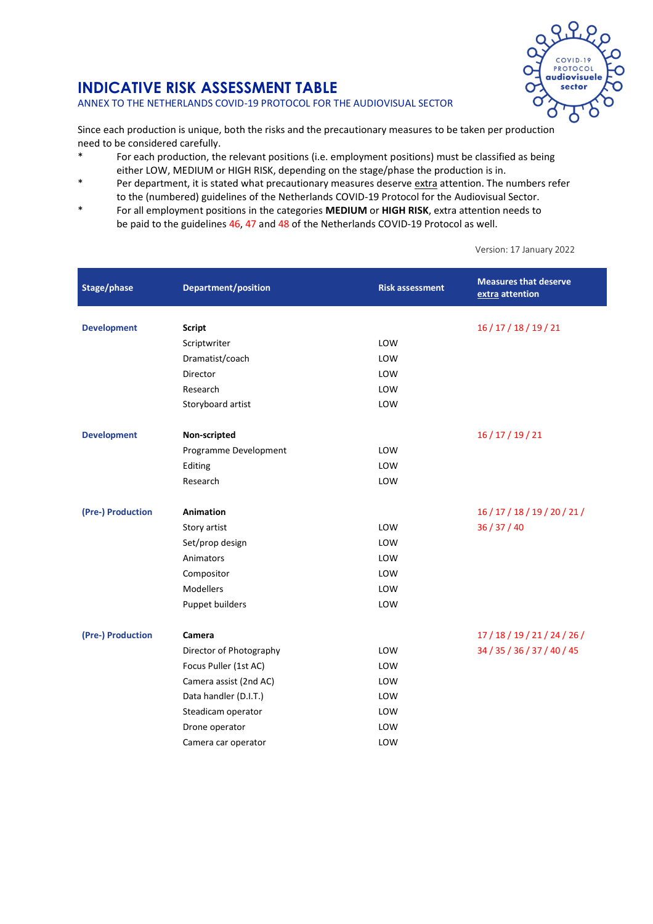ANNEX TO THE NETHERLANDS COVID-19 PROTOCOL FOR THE AUDIOVISUAL SECTOR



Since each production is unique, both the risks and the precautionary measures to be taken per production need to be considered carefully.

- \* For each production, the relevant positions (i.e. employment positions) must be classified as being either LOW, MEDIUM or HIGH RISK, depending on the stage/phase the production is in.
- \* Per department, it is stated what precautionary measures deserve extra attention. The numbers refer to the (numbered) guidelines of the Netherlands COVID-19 Protocol for the Audiovisual Sector.
- \* For all employment positions in the categories **MEDIUM** or **HIGH RISK**, extra attention needs to be paid to the guidelines 46, 47 and 48 of the Netherlands COVID-19 Protocol as well.

Version: 17 January 2022

| Stage/phase        | <b>Department/position</b> | <b>Risk assessment</b> | <b>Measures that deserve</b><br>extra attention |
|--------------------|----------------------------|------------------------|-------------------------------------------------|
| <b>Development</b> | <b>Script</b>              |                        | 16/17/18/19/21                                  |
|                    | Scriptwriter               | LOW                    |                                                 |
|                    | Dramatist/coach            | LOW                    |                                                 |
|                    | Director                   | LOW                    |                                                 |
|                    | Research                   | LOW                    |                                                 |
|                    | Storyboard artist          | LOW                    |                                                 |
| <b>Development</b> | Non-scripted               |                        | 16/17/19/21                                     |
|                    | Programme Development      | LOW                    |                                                 |
|                    | Editing                    | LOW                    |                                                 |
|                    | Research                   | LOW                    |                                                 |
| (Pre-) Production  | <b>Animation</b>           |                        | 16/17/18/19/20/21/                              |
|                    | Story artist               | LOW                    | 36/37/40                                        |
|                    | Set/prop design            | LOW                    |                                                 |
|                    | Animators                  | LOW                    |                                                 |
|                    | Compositor                 | LOW                    |                                                 |
|                    | <b>Modellers</b>           | LOW                    |                                                 |
|                    | Puppet builders            | LOW                    |                                                 |
| (Pre-) Production  | Camera                     |                        | 17/18/19/21/24/26/                              |
|                    | Director of Photography    | LOW                    | 34 / 35 / 36 / 37 / 40 / 45                     |
|                    | Focus Puller (1st AC)      | LOW                    |                                                 |
|                    | Camera assist (2nd AC)     | LOW                    |                                                 |
|                    | Data handler (D.I.T.)      | LOW                    |                                                 |
|                    | Steadicam operator         | LOW                    |                                                 |
|                    | Drone operator             | LOW                    |                                                 |
|                    | Camera car operator        | LOW                    |                                                 |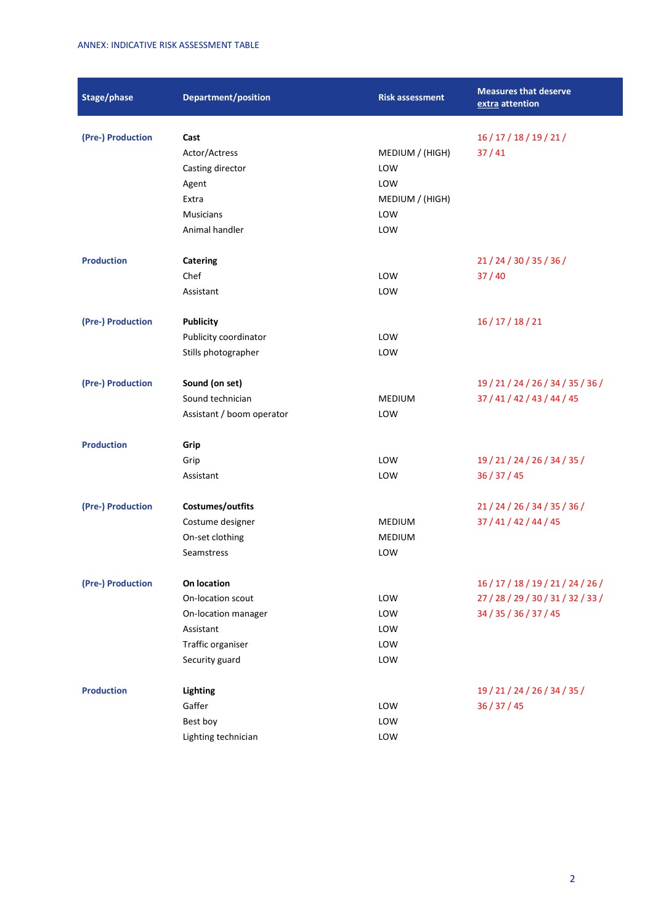| Stage/phase       | <b>Department/position</b> | <b>Risk assessment</b> | <b>Measures that deserve</b><br>extra attention |
|-------------------|----------------------------|------------------------|-------------------------------------------------|
| (Pre-) Production | Cast                       |                        | 16/17/18/19/21/                                 |
|                   | Actor/Actress              | MEDIUM / (HIGH)        | 37/41                                           |
|                   | Casting director           | LOW                    |                                                 |
|                   | Agent                      | LOW                    |                                                 |
|                   | Extra                      | MEDIUM / (HIGH)        |                                                 |
|                   | <b>Musicians</b>           | LOW                    |                                                 |
|                   | Animal handler             | LOW                    |                                                 |
| <b>Production</b> | <b>Catering</b>            |                        | 21/24/30/35/36/                                 |
|                   | Chef                       | LOW                    | 37/40                                           |
|                   | Assistant                  | LOW                    |                                                 |
| (Pre-) Production | <b>Publicity</b>           |                        | 16/17/18/21                                     |
|                   | Publicity coordinator      | LOW                    |                                                 |
|                   | Stills photographer        | LOW                    |                                                 |
| (Pre-) Production | Sound (on set)             |                        | 19 / 21 / 24 / 26 / 34 / 35 / 36 /              |
|                   | Sound technician           | <b>MEDIUM</b>          | 37 / 41 / 42 / 43 / 44 / 45                     |
|                   | Assistant / boom operator  | LOW                    |                                                 |
| <b>Production</b> | Grip                       |                        |                                                 |
|                   | Grip                       | LOW                    | 19/21/24/26/34/35/                              |
|                   | Assistant                  | LOW                    | 36 / 37 / 45                                    |
| (Pre-) Production | Costumes/outfits           |                        | 21/24/26/34/35/36/                              |
|                   | Costume designer           | <b>MEDIUM</b>          | 37 / 41 / 42 / 44 / 45                          |
|                   | On-set clothing            | MEDIUM                 |                                                 |
|                   | Seamstress                 | LOW                    |                                                 |
| (Pre-) Production | On location                |                        | 16/17/18/19/21/24/26/                           |
|                   | On-location scout          | LOW                    | 27 / 28 / 29 / 30 / 31 / 32 / 33 /              |
|                   | On-location manager        | LOW                    | 34 / 35 / 36 / 37 / 45                          |
|                   | Assistant                  | LOW                    |                                                 |
|                   | Traffic organiser          | LOW                    |                                                 |
|                   | Security guard             | LOW                    |                                                 |
| <b>Production</b> | Lighting                   |                        | 19/21/24/26/34/35/                              |
|                   | Gaffer                     | LOW                    | 36 / 37 / 45                                    |
|                   | Best boy                   | LOW                    |                                                 |
|                   | Lighting technician        | LOW                    |                                                 |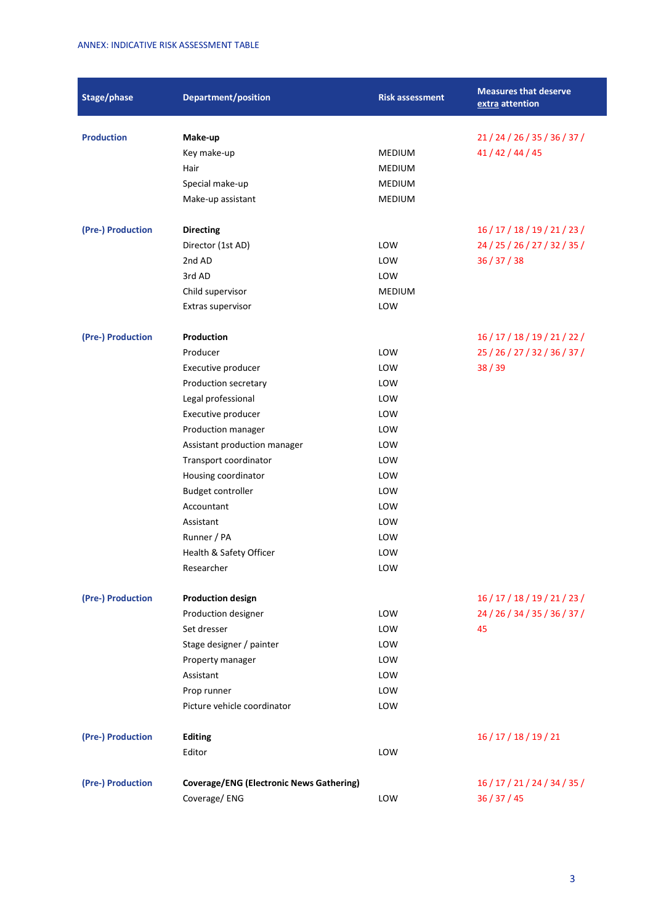| Stage/phase       | <b>Department/position</b>                      | <b>Risk assessment</b> | <b>Measures that deserve</b><br>extra attention     |
|-------------------|-------------------------------------------------|------------------------|-----------------------------------------------------|
| <b>Production</b> | Make-up                                         |                        | 21/24/26/35/36/37/                                  |
|                   | Key make-up                                     | <b>MEDIUM</b>          | 41/42/44/45                                         |
|                   | Hair                                            | <b>MEDIUM</b>          |                                                     |
|                   | Special make-up                                 | <b>MEDIUM</b>          |                                                     |
|                   | Make-up assistant                               | <b>MEDIUM</b>          |                                                     |
| (Pre-) Production | <b>Directing</b>                                |                        | 16/17/18/19/21/23/                                  |
|                   | Director (1st AD)                               | LOW                    | 24 / 25 / 26 / 27 / 32 / 35 /                       |
|                   | 2nd AD                                          | LOW                    | 36 / 37 / 38                                        |
|                   | 3rd AD                                          | LOW                    |                                                     |
|                   | Child supervisor                                | <b>MEDIUM</b>          |                                                     |
|                   | Extras supervisor                               | LOW                    |                                                     |
|                   |                                                 |                        |                                                     |
| (Pre-) Production | Production<br>Producer                          |                        | 16/17/18/19/21/22/<br>25 / 26 / 27 / 32 / 36 / 37 / |
|                   |                                                 | LOW                    |                                                     |
|                   | Executive producer                              | LOW                    | 38/39                                               |
|                   | Production secretary                            | LOW                    |                                                     |
|                   | Legal professional                              | LOW                    |                                                     |
|                   | Executive producer                              | LOW                    |                                                     |
|                   | Production manager                              | LOW                    |                                                     |
|                   | Assistant production manager                    | LOW                    |                                                     |
|                   | Transport coordinator                           | LOW                    |                                                     |
|                   | Housing coordinator                             | LOW                    |                                                     |
|                   | Budget controller                               | LOW                    |                                                     |
|                   | Accountant                                      | LOW                    |                                                     |
|                   | Assistant                                       | LOW                    |                                                     |
|                   | Runner / PA                                     | LOW                    |                                                     |
|                   | Health & Safety Officer                         | LOW                    |                                                     |
|                   | Researcher                                      | LOW                    |                                                     |
| (Pre-) Production | <b>Production design</b>                        |                        | 16/17/18/19/21/23/                                  |
|                   | Production designer                             | LOW                    | 24 / 26 / 34 / 35 / 36 / 37 /                       |
|                   | Set dresser                                     | LOW                    | 45                                                  |
|                   | Stage designer / painter                        | LOW                    |                                                     |
|                   | Property manager                                | LOW                    |                                                     |
|                   | Assistant                                       | LOW                    |                                                     |
|                   | Prop runner                                     | LOW                    |                                                     |
|                   | Picture vehicle coordinator                     | LOW                    |                                                     |
| (Pre-) Production | <b>Editing</b>                                  |                        | 16 / 17 / 18 / 19 / 21                              |
|                   | Editor                                          | LOW                    |                                                     |
| (Pre-) Production | <b>Coverage/ENG (Electronic News Gathering)</b> |                        | 16 / 17 / 21 / 24 / 34 / 35 /                       |
|                   | Coverage/ENG                                    | LOW                    | 36 / 37 / 45                                        |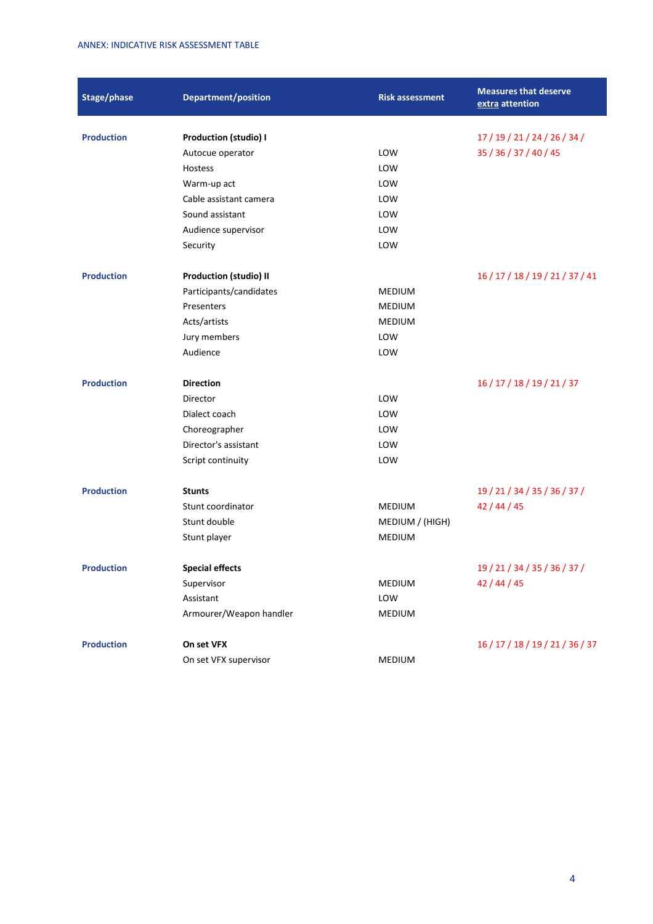| Stage/phase       | <b>Department/position</b>    | <b>Risk assessment</b> | <b>Measures that deserve</b><br>extra attention |
|-------------------|-------------------------------|------------------------|-------------------------------------------------|
| <b>Production</b> | <b>Production (studio) I</b>  |                        | 17 / 19 / 21 / 24 / 26 / 34 /                   |
|                   | Autocue operator              | LOW                    | 35 / 36 / 37 / 40 / 45                          |
|                   | Hostess                       | LOW                    |                                                 |
|                   | Warm-up act                   | LOW                    |                                                 |
|                   | Cable assistant camera        | LOW                    |                                                 |
|                   | Sound assistant               | LOW                    |                                                 |
|                   | Audience supervisor           | LOW                    |                                                 |
|                   | Security                      | LOW                    |                                                 |
| <b>Production</b> | <b>Production (studio) II</b> |                        | 16 / 17 / 18 / 19 / 21 / 37 / 41                |
|                   | Participants/candidates       | <b>MEDIUM</b>          |                                                 |
|                   | Presenters                    | <b>MEDIUM</b>          |                                                 |
|                   | Acts/artists                  | <b>MEDIUM</b>          |                                                 |
|                   | Jury members                  | LOW                    |                                                 |
|                   | Audience                      | LOW                    |                                                 |
| <b>Production</b> | <b>Direction</b>              |                        | 16 / 17 / 18 / 19 / 21 / 37                     |
|                   | Director                      | LOW                    |                                                 |
|                   | Dialect coach                 | LOW                    |                                                 |
|                   | Choreographer                 | LOW                    |                                                 |
|                   | Director's assistant          | LOW                    |                                                 |
|                   | Script continuity             | LOW                    |                                                 |
| <b>Production</b> | <b>Stunts</b>                 |                        | 19 / 21 / 34 / 35 / 36 / 37 /                   |
|                   | Stunt coordinator             | <b>MEDIUM</b>          | 42/44/45                                        |
|                   | Stunt double                  | MEDIUM / (HIGH)        |                                                 |
|                   | Stunt player                  | <b>MEDIUM</b>          |                                                 |
| <b>Production</b> | <b>Special effects</b>        |                        | 19 / 21 / 34 / 35 / 36 / 37 /                   |
|                   | Supervisor                    | MEDIUM                 | 42/44/45                                        |
|                   | Assistant                     | LOW                    |                                                 |
|                   | Armourer/Weapon handler       | MEDIUM                 |                                                 |
| <b>Production</b> | On set VFX                    |                        | 16 / 17 / 18 / 19 / 21 / 36 / 37                |
|                   | On set VFX supervisor         | MEDIUM                 |                                                 |